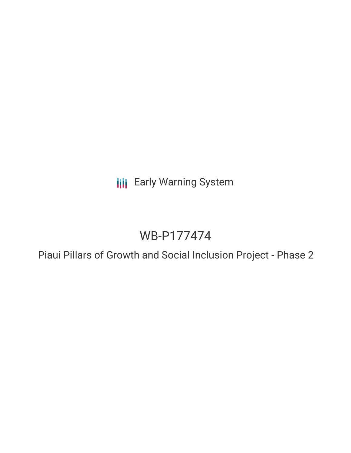**III** Early Warning System

# WB-P177474

Piaui Pillars of Growth and Social Inclusion Project - Phase 2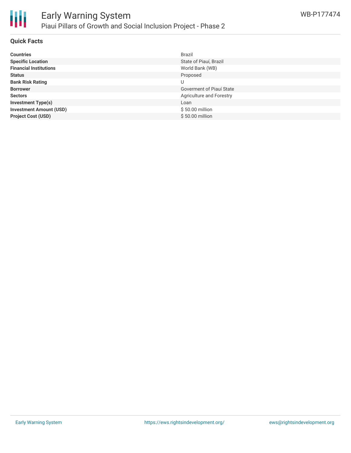

### **Quick Facts**

| <b>Countries</b>               | <b>Brazil</b>            |
|--------------------------------|--------------------------|
| <b>Specific Location</b>       | State of Piauí, Brazil   |
| <b>Financial Institutions</b>  | World Bank (WB)          |
| <b>Status</b>                  | Proposed                 |
| <b>Bank Risk Rating</b>        |                          |
| <b>Borrower</b>                | Goverment of Piauí State |
| <b>Sectors</b>                 | Agriculture and Forestry |
| <b>Investment Type(s)</b>      | Loan                     |
| <b>Investment Amount (USD)</b> | \$50.00 million          |
| <b>Project Cost (USD)</b>      | \$50.00 million          |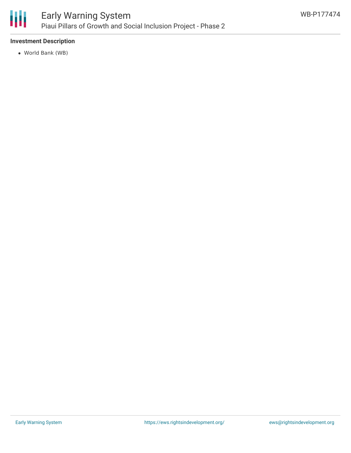

## Early Warning System Piaui Pillars of Growth and Social Inclusion Project - Phase 2

### **Investment Description**

World Bank (WB)